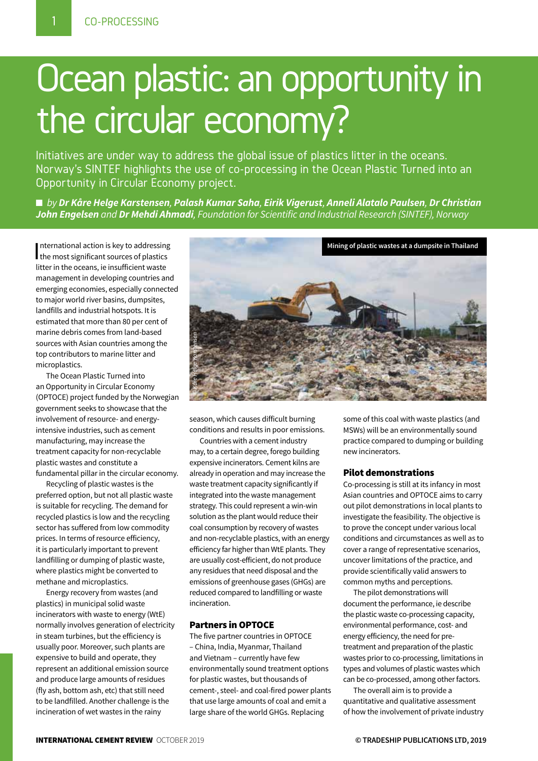## Ocean plastic: an opportunity in the circular economy?

Initiatives are under way to address the global issue of plastics litter in the oceans. Norway's SINTEF highlights the use of co-processing in the Ocean Plastic Turned into an Opportunity in Circular Economy project.

n *by Dr Kåre Helge Karstensen, Palash Kumar Saha, Eirik Vigerust, Anneli Alatalo Paulsen, Dr Christian John Engelsen and Dr Mehdi Ahmadi, Foundation for Scientific and Industrial Research (SINTEF), Norway*

International action is key to addressing<br>the most significant sources of plastics nternational action is key to addressing litter in the oceans, ie insufficient waste management in developing countries and emerging economies, especially connected to major world river basins, dumpsites, landfills and industrial hotspots. It is estimated that more than 80 per cent of marine debris comes from land-based sources with Asian countries among the top contributors to marine litter and microplastics.

The Ocean Plastic Turned into an Opportunity in Circular Economy (OPTOCE) project funded by the Norwegian government seeks to showcase that the involvement of resource- and energyintensive industries, such as cement manufacturing, may increase the treatment capacity for non-recyclable plastic wastes and constitute a fundamental pillar in the circular economy.

Recycling of plastic wastes is the preferred option, but not all plastic waste is suitable for recycling. The demand for recycled plastics is low and the recycling sector has suffered from low commodity prices. In terms of resource efficiency, it is particularly important to prevent landfilling or dumping of plastic waste, where plastics might be converted to methane and microplastics.

Energy recovery from wastes (and plastics) in municipal solid waste incinerators with waste to energy (WtE) normally involves generation of electricity in steam turbines, but the efficiency is usually poor. Moreover, such plants are expensive to build and operate, they represent an additional emission source and produce large amounts of residues (fly ash, bottom ash, etc) that still need to be landfilled. Another challenge is the incineration of wet wastes in the rainy



season, which causes difficult burning conditions and results in poor emissions.

Countries with a cement industry may, to a certain degree, forego building expensive incinerators. Cement kilns are already in operation and may increase the waste treatment capacity significantly if integrated into the waste management strategy. This could represent a win-win solution as the plant would reduce their coal consumption by recovery of wastes and non-recyclable plastics, with an energy efficiency far higher than WtE plants. They are usually cost-efficient, do not produce any residues that need disposal and the emissions of greenhouse gases (GHGs) are reduced compared to landfilling or waste incineration.

#### Partners in OPTOCE

The five partner countries in OPTOCE – China, India, Myanmar, Thailand and Vietnam – currently have few environmentally sound treatment options for plastic wastes, but thousands of cement-, steel- and coal-fired power plants that use large amounts of coal and emit a large share of the world GHGs. Replacing

some of this coal with waste plastics (and MSWs) will be an environmentally sound practice compared to dumping or building new incinerators.

#### Pilot demonstrations

Co-processing is still at its infancy in most Asian countries and OPTOCE aims to carry out pilot demonstrations in local plants to investigate the feasibility. The objective is to prove the concept under various local conditions and circumstances as well as to cover a range of representative scenarios, uncover limitations of the practice, and provide scientifically valid answers to common myths and perceptions.

The pilot demonstrations will document the performance, ie describe the plastic waste co-processing capacity, environmental performance, cost- and energy efficiency, the need for pretreatment and preparation of the plastic wastes prior to co-processing, limitations in types and volumes of plastic wastes which can be co-processed, among other factors.

The overall aim is to provide a quantitative and qualitative assessment of how the involvement of private industry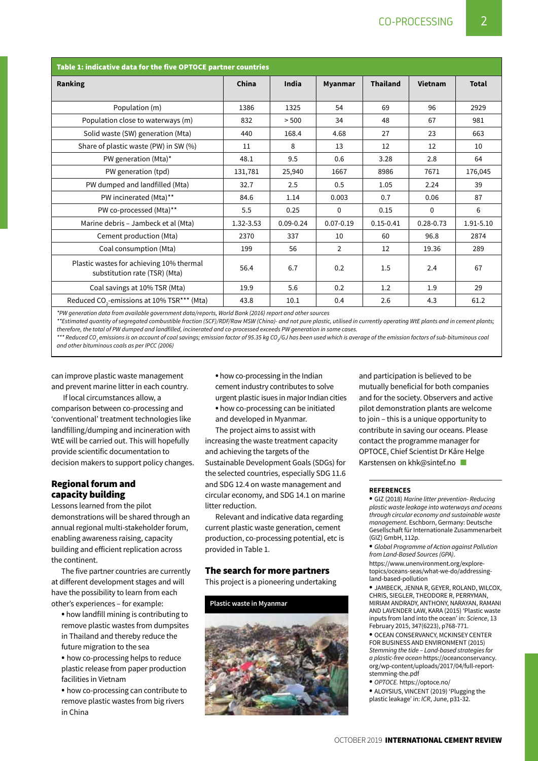| Table 1: indicative data for the five OPTOCE partner countries            |           |               |                |                 |               |              |
|---------------------------------------------------------------------------|-----------|---------------|----------------|-----------------|---------------|--------------|
| Ranking                                                                   | China     | India         | <b>Myanmar</b> | <b>Thailand</b> | Vietnam       | <b>Total</b> |
|                                                                           |           |               |                |                 |               |              |
| Population (m)                                                            | 1386      | 1325          | 54             | 69              | 96            | 2929         |
| Population close to waterways (m)                                         | 832       | > 500         | 34             | 48              | 67            | 981          |
| Solid waste (SW) generation (Mta)                                         | 440       | 168.4         | 4.68           | 27              | 23            | 663          |
| Share of plastic waste (PW) in SW (%)                                     | 11        | 8             | 13             | 12              | 12            | 10           |
| PW generation (Mta)*                                                      | 48.1      | 9.5           | 0.6            | 3.28            | 2.8           | 64           |
| PW generation (tpd)                                                       | 131,781   | 25,940        | 1667           | 8986            | 7671          | 176,045      |
| PW dumped and landfilled (Mta)                                            | 32.7      | 2.5           | 0.5            | 1.05            | 2.24          | 39           |
| PW incinerated (Mta)**                                                    | 84.6      | 1.14          | 0.003          | 0.7             | 0.06          | 87           |
| PW co-processed (Mta)**                                                   | 5.5       | 0.25          | $\mathbf{0}$   | 0.15            | $\mathbf{0}$  | 6            |
| Marine debris - Jambeck et al (Mta)                                       | 1.32-3.53 | $0.09 - 0.24$ | $0.07 - 0.19$  | $0.15 - 0.41$   | $0.28 - 0.73$ | 1.91-5.10    |
| Cement production (Mta)                                                   | 2370      | 337           | 10             | 60              | 96.8          | 2874         |
| Coal consumption (Mta)                                                    | 199       | 56            | $\overline{2}$ | 12              | 19.36         | 289          |
| Plastic wastes for achieving 10% thermal<br>substitution rate (TSR) (Mta) | 56.4      | 6.7           | 0.2            | 1.5             | 2.4           | 67           |
| Coal savings at 10% TSR (Mta)                                             | 19.9      | 5.6           | 0.2            | 1.2             | 1.9           | 29           |
| Reduced CO <sub>2</sub> -emissions at 10% TSR*** (Mta)                    | 43.8      | 10.1          | 0.4            | 2.6             | 4.3           | 61.2         |

*\*PW generation data from available government data/reports, World Bank (2016) report and other sources*

*\*\*Estimated quantity of segregated combustible fraction (SCF)/RDF/Raw MSW (China)- and not pure plastic, utilised in currently operating WtE plants and in cement plants; therefore, the total of PW dumped and landfilled, incinerated and co-processed exceeds PW generation in some cases.*

\*\*\* Reduced CO<sub>2</sub> emissions is on account of coal savings; emission factor of 95.35 kg CO<sub>2</sub>/GJ has been used which is average of the emission factors of sub-bituminous coal *and other bituminous coals as per IPCC (2006)*

can improve plastic waste management and prevent marine litter in each country.

 If local circumstances allow, a comparison between co-processing and 'conventional' treatment technologies like landfilling/dumping and incineration with WtE will be carried out. This will hopefully provide scientific documentation to decision makers to support policy changes.

#### Regional forum and capacity building

Lessons learned from the pilot demonstrations will be shared through an annual regional multi-stakeholder forum, enabling awareness raising, capacity building and efficient replication across the continent.

The five partner countries are currently at different development stages and will have the possibility to learn from each other's experiences – for example:

• how landfill mining is contributing to remove plastic wastes from dumpsites in Thailand and thereby reduce the future migration to the sea

• how co-processing helps to reduce plastic release from paper production facilities in Vietnam

• how co-processing can contribute to remove plastic wastes from big rivers in China

• how co-processing in the Indian

- cement industry contributes to solve
- urgent plastic isues in major Indian cities
- how co-processing can be initiated and developed in Myanmar.

The project aims to assist with increasing the waste treatment capacity and achieving the targets of the Sustainable Development Goals (SDGs) for the selected countries, especially SDG 11.6 and SDG 12.4 on waste management and circular economy, and SDG 14.1 on marine litter reduction.

Relevant and indicative data regarding current plastic waste generation, cement production, co-processing potential, etc is provided in Table 1.

#### The search for more partners

This project is a pioneering undertaking



and participation is believed to be mutually beneficial for both companies and for the society. Observers and active pilot demonstration plants are welcome to join – this is a unique opportunity to contribute in saving our oceans. Please contact the programme manager for OPTOCE, Chief Scientist Dr Kåre Helge Karstensen on khk@sintef.no

#### **References**

• GIZ (2018) *Marine litter prevention- Reducing plastic waste leakage into waterways and oceans through circular economy and sustainable waste management*. Eschborn, Germany: Deutsche Gesellschaft für Internationale Zusammenarbeit (GIZ) GmbH, 112p.

• *Global Programme of Action against Pollution from Land-Based Sources (GPA)*.

https://www.unenvironment.org/exploretopics/oceans-seas/what-we-do/addressingland-based-pollution

• jambeck, JENNA R, Geyer, Roland, Wilcox, Chris, Siegler, Theodore R, Perryman, Miriam Andrady, Anthony, Narayan, Ramani and Lavender Law, Kara (2015) 'Plastic waste inputs from land into the ocean' in: *Science*, 13 February 2015, 347(6223), p768-771.

• Ocean Conservancy, McKinsey Center for Business and Environment (2015) *Stemming the tide – Land-based strategies for a plastic-free ocean* https://oceanconservancy. org/wp-content/uploads/2017/04/full-reportstemming-the.pdf

- *OPTOCE.* https://optoce.no/
- Aloysius, Vincent (2019) 'Plugging the plastic leakage' in: *ICR*, June, p31-32.